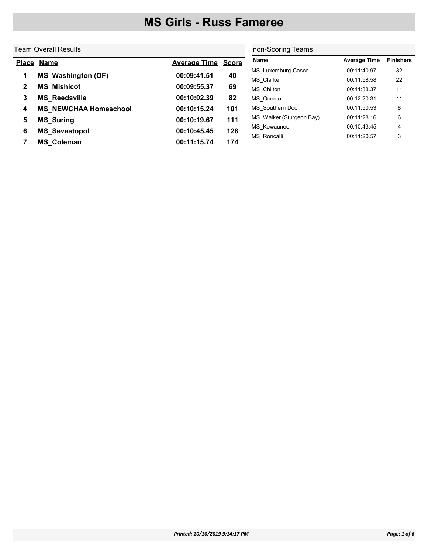|              | <b>Team Overall Results</b>  | non-Scoring Teams         |     |                          |                     |                  |
|--------------|------------------------------|---------------------------|-----|--------------------------|---------------------|------------------|
| <b>Place</b> | <u>Name</u>                  | <b>Average Time Score</b> |     | <b>Name</b>              | <b>Average Time</b> | <b>Finishers</b> |
|              | <b>MS_Washington (OF)</b>    | 00:09:41.51               | 40  | MS Luxemburg-Casco       | 00:11:40.97         | 32               |
| 1            |                              |                           |     | MS Clarke                | 00:11:58.58         | 22               |
| $\mathbf{2}$ | <b>MS Mishicot</b>           | 00:09:55.37               | 69  | MS Chilton               | 00:11:38.37         | 11               |
| 3            | <b>MS Reedsville</b>         | 00:10:02.39               | 82  | MS Oconto                | 00:12:20.31         | 11               |
| 4            | <b>MS NEWCHAA Homeschool</b> | 00:10:15.24               | 101 | MS Southern Door         | 00:11:50.53         | 8                |
| 5            | <b>MS_Suring</b>             | 00:10:19.67               | 111 | MS Walker (Sturgeon Bay) | 00:11:28.16         | 6                |
| 6            |                              | 00:10:45.45               | 128 | MS Kewaunee              | 00:10:43.45         | 4                |
|              | <b>MS_Sevastopol</b>         |                           |     | MS Roncalli              | 00:11:20.57         | 3                |
|              | <b>MS Coleman</b>            | 00:11:15.74               | 174 |                          |                     |                  |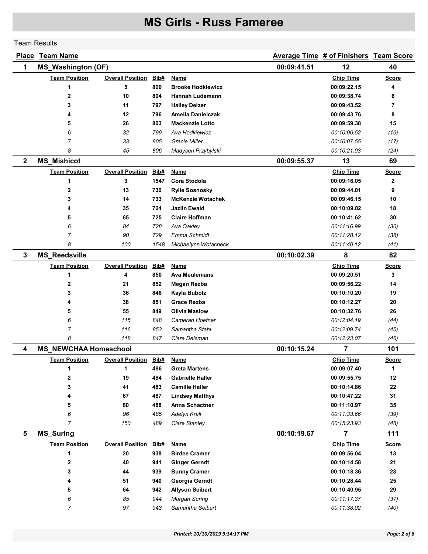#### Team Results

|              | <b>Place Team Name</b>       |                         |      |                          |             | Average Time # of Finishers Team Score |              |
|--------------|------------------------------|-------------------------|------|--------------------------|-------------|----------------------------------------|--------------|
| 1            | <b>MS_Washington (OF)</b>    |                         |      |                          | 00:09:41.51 | 12                                     | 40           |
|              | <b>Team Position</b>         | <b>Overall Position</b> | Bib# | <b>Name</b>              |             | <b>Chip Time</b>                       | <b>Score</b> |
|              | 1                            | 5                       | 800  | <b>Brooke Hodkiewicz</b> |             | 00:09:22.15                            | 4            |
|              | $\mathbf 2$                  | 10                      | 804  | Hannah Ludemann          |             | 00:09:38.74                            | 6            |
|              | 3                            | 11                      | 797  | <b>Hailey Delzer</b>     |             | 00:09:43.52                            | 7            |
|              | 4                            | 12                      | 796  | Amelia Danielczak        |             | 00:09:43.76                            | 8            |
|              | 5                            | 26                      | 803  | <b>Mackenzie Lotto</b>   |             | 00:09:59.38                            | 15           |
|              | 6                            | 32                      | 799  | Ava Hodkiewicz           |             | 00:10:06.52                            | (16)         |
|              | $\overline{7}$               | 33                      | 805  | <b>Gracie Miller</b>     |             | 00:10:07.55                            | (17)         |
|              | 8                            | 45                      | 806  | Madysen Przybylski       |             | 00:10:21.03                            | (24)         |
| $\mathbf{2}$ | <b>MS_Mishicot</b>           |                         |      |                          | 00:09:55.37 | 13                                     | 69           |
|              | <b>Team Position</b>         | <b>Overall Position</b> | Bib# | Name                     |             | <b>Chip Time</b>                       | <b>Score</b> |
|              | 1                            | 3                       | 1547 | Cora Stodola             |             | 00:09:16.05                            | 2            |
|              | $\mathbf 2$                  | 13                      | 730  | <b>Rylie Sosnosky</b>    |             | 00:09:44.01                            | 9            |
|              | 3                            | 14                      | 733  | <b>McKenzie Wotachek</b> |             | 00:09:46.15                            | 10           |
|              | 4                            | 35                      | 724  | <b>Jazlin Ewald</b>      |             | 00:10:09.02                            | 18           |
|              | 5                            | 65                      | 725  | <b>Claire Hoffman</b>    |             | 00:10:41.62                            | 30           |
|              | 6                            | 84                      | 728  | Ava Oakley               |             | 00:11:16.99                            | (36)         |
|              | $\overline{7}$               | 90                      | 729  | Emma Schmidt             |             | 00:11:28.12                            | (38)         |
|              | 8                            | 100                     | 1548 | Michaelynn Wotacheck     |             | 00:11:40.12                            | (41)         |
| $\mathbf{3}$ | <b>MS_Reedsville</b>         |                         |      |                          | 00:10:02.39 | 8                                      | 82           |
|              | <b>Team Position</b>         | <b>Overall Position</b> | Bib# | <b>Name</b>              |             | <b>Chip Time</b>                       | <b>Score</b> |
|              | 1                            | 4                       | 850  | <b>Ava Meulemans</b>     |             | 00:09:20.51                            | 3            |
|              | $\mathbf 2$                  | 21                      | 852  | Megan Rezba              |             | 00:09:56.22                            | 14           |
|              | 3                            | 36                      | 846  | Kayla Bubolz             |             | 00:10:10.20                            | 19           |
|              | 4                            | 38                      | 851  | <b>Grace Rezba</b>       |             | 00:10:12.27                            | 20           |
|              | 5                            | 55                      | 849  | <b>Olivia Maslow</b>     |             | 00:10:32.76                            | 26           |
|              | 6                            | 115                     | 848  | Cameran Hoefner          |             | 00:12:04.19                            | (44)         |
|              | 7                            | 116                     | 853  | Samantha Stahl           |             | 00:12:09.74                            | (45)         |
|              | 8                            | 118                     | 847  | Clare Delsman            |             | 00:12:23.07                            | (46)         |
| 4            | <b>MS NEWCHAA Homeschool</b> |                         |      |                          | 00:10:15.24 | 7                                      | 101          |
|              | <b>Team Position</b>         | <b>Overall Position</b> | Bib# | <b>Name</b>              |             | <b>Chip Time</b>                       | <u>Score</u> |
|              | 1                            | 1                       | 486  | <b>Greta Martens</b>     |             | 00:09:07.40                            | 1            |
|              | 2                            | 19                      | 484  | <b>Gabrielle Haller</b>  |             | 00:09:55.75                            | 12           |
|              | 3                            | 41                      | 483  | <b>Camille Haller</b>    |             | 00:10:14.86                            | 22           |
|              | 4                            | 67                      | 487  | <b>Lindsey Matthys</b>   |             | 00:10:47.22                            | 31           |
|              | 5                            | 80                      | 488  | Anna Schactner           |             | 00:11:10.97                            | 35           |
|              | 6                            | 96                      | 485  | Adelyn Krall             |             | 00:11:33.66                            | (39)         |
|              | 7                            | 150                     | 489  | Clare Stanley            |             | 00:15:23.93                            | (48)         |
| 5            | <b>MS_Suring</b>             |                         |      |                          | 00:10:19.67 | $\overline{7}$                         | 111          |
|              | <b>Team Position</b>         | <b>Overall Position</b> | Bib# | <b>Name</b>              |             | <b>Chip Time</b>                       | <b>Score</b> |
|              | 1                            | 20                      | 938  | <b>Birdee Cramer</b>     |             | 00:09:56.04                            | 13           |
|              | 2                            | 40                      | 941  | <b>Ginger Gerndt</b>     |             | 00:10:14.58                            | 21           |
|              | 3                            | 44                      | 939  | <b>Bunny Cramer</b>      |             | 00:10:18.36                            | 23           |
|              | 4                            | 51                      | 940  | Georgia Gerndt           |             | 00:10:28.44                            | 25           |
|              | 5                            | 64                      | 942  | <b>Allyson Seibert</b>   |             | 00:10:40.95                            | 29           |
|              | 6                            | 85                      | 944  | <b>Morgan Suring</b>     |             | 00:11:17.37                            | (37)         |
|              | $\overline{7}$               | 97                      | 943  | Samantha Seibert         |             | 00:11:38.02                            | (40)         |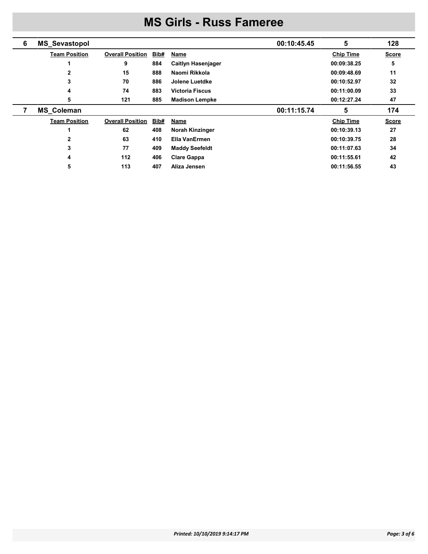| 6 | <b>MS_Sevastopol</b> |                         |      | 00:10:45.45               | 5                | 128          |
|---|----------------------|-------------------------|------|---------------------------|------------------|--------------|
|   | <b>Team Position</b> | <b>Overall Position</b> | Bib# | <b>Name</b>               | <b>Chip Time</b> | <b>Score</b> |
|   |                      | 9                       | 884  | <b>Caitlyn Hasenjager</b> | 00:09:38.25      | 5            |
|   |                      | 15                      | 888  | Naomi Rikkola             | 00:09:48.69      | 11           |
|   | 3                    | 70                      | 886  | Jolene Luetdke            | 00:10:52.97      | 32           |
|   | 4                    | 74                      | 883  | <b>Victoria Fiscus</b>    | 00:11:00.09      | 33           |
|   | 5                    | 121                     | 885  | <b>Madison Lempke</b>     | 00:12:27.24      | 47           |
|   |                      |                         |      |                           |                  |              |
|   | <b>MS Coleman</b>    |                         |      | 00:11:15.74               | 5                | 174          |
|   | <b>Team Position</b> | <b>Overall Position</b> | Bib# | <b>Name</b>               | <b>Chip Time</b> | <b>Score</b> |
|   |                      | 62                      | 408  | <b>Norah Kinzinger</b>    | 00:10:39.13      | 27           |
|   | 2                    | 63                      | 410  | Ella VanErmen             | 00:10:39.75      | 28           |
|   | 3                    | 77                      | 409  | <b>Maddy Seefeldt</b>     | 00:11:07.63      | 34           |
|   | 4                    | 112                     | 406  | <b>Clare Gappa</b>        | 00:11:55.61      | 42           |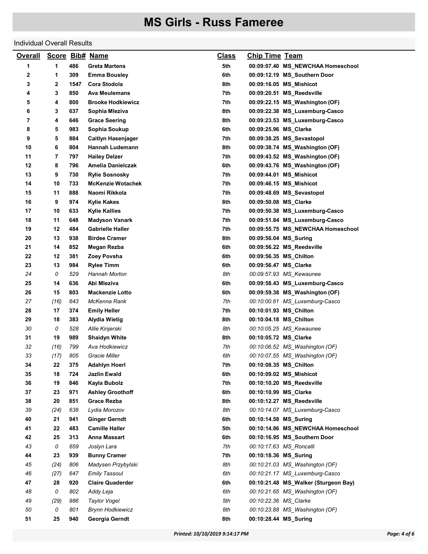#### Individual Overall Results

| 1<br>1<br>486<br>5th<br>Greta Martens<br>00:09:07.40 MS_NEWCHAA Homeschool<br>2<br>6th<br>1<br>309<br><b>Emma Bousley</b><br>00:09:12.19 MS_Southern Door<br>3<br>2<br>1547<br>Cora Stodola<br>8th<br>00:09:16.05 MS_Mishicot<br>3<br>850<br>7th<br>4<br>Ava Meulemans<br>00:09:20.51 MS_Reedsville<br>5<br>4<br>800<br><b>Brooke Hodkiewicz</b><br>7th<br>00:09:22.15 MS_Washington (OF)<br>6<br>3<br>637<br>8th<br>Sophia Mleziva<br>00:09:22.38 MS_Luxemburg-Casco<br>7<br>4<br>646<br>8th<br>00:09:23.53 MS_Luxemburg-Casco<br><b>Grace Seering</b><br>8<br>5<br>983<br>Sophia Soukup<br>6th<br>00:09:25.96 MS_Clarke<br>9<br>5<br>884<br>7th<br><b>Caitlyn Hasenjager</b><br>00:09:38.25 MS_Sevastopol<br>10<br>6<br>804<br>8th<br>Hannah Ludemann<br>00:09:38.74 MS Washington (OF)<br>11<br>7<br>797<br><b>Hailey Delzer</b><br>7th<br>00:09:43.52 MS_Washington (OF)<br>12<br>8<br>6th<br>796<br>Amelia Danielczak<br>00:09:43.76 MS_Washington (OF)<br>13<br>9<br>730<br>7th<br><b>Rylie Sosnosky</b><br>00:09:44.01 MS_Mishicot<br>14<br>10<br>733<br><b>McKenzie Wotachek</b><br>7th<br>00:09:46.15 MS_Mishicot<br>11<br>888<br>7th<br>15<br>Naomi Rikkola<br>00:09:48.69 MS_Sevastopol<br>16<br>9<br>8th<br>974<br><b>Kylie Kakes</b><br>00:09:50.08 MS_Clarke<br>10<br>633<br>7th<br>00:09:50.38 MS_Luxemburg-Casco<br>17<br>Kylie Kallies<br>18<br>11<br>648<br>7th<br><b>Madyson Vanark</b><br>00:09:51.84 MS_Luxemburg-Casco<br>19<br>12<br>484<br><b>Gabrielle Haller</b><br>7th<br>00:09:55.75 MS_NEWCHAA Homeschool<br>20<br>13<br>938<br><b>Birdee Cramer</b><br>8th<br>00:09:56.04 MS_Suring<br>21<br>14<br>852<br>6th<br>Megan Rezba<br>00:09:56.22 MS_Reedsville<br>22<br>12<br>381<br>Zoey Povsha<br>6th<br>00:09:56.35 MS_Chilton<br>23<br>13<br>984<br><b>Rylee Timm</b><br>6th<br>00:09:56.47 MS_Clarke<br>24<br>0<br>529<br>8th<br>Hannah Morton<br>00:09:57.93 MS_Kewaunee<br>25<br>636<br>6th<br>14<br>Abi Mleziva<br>00:09:58.43 MS_Luxemburg-Casco<br>26<br>15<br>803<br><b>Mackenzie Lotto</b><br>6th<br>00:09:59.38 MS_Washington (OF)<br>27<br>(16)<br>643<br>7th<br>McKenna Rank<br>00:10:00.61 MS_Luxemburg-Casco<br>28<br>17<br>374<br>7th<br><b>Emily Heller</b><br>00:10:01.93 MS_Chilton<br>29<br>18<br>383<br>8th<br><b>Alydia Wietig</b><br>00:10:04.18 MS_Chilton<br>0<br>30<br>528<br>Allie Kinjerski<br>8th<br>00:10:05.25 MS_Kewaunee<br>31<br>19<br>989<br>8th<br>00:10:05.72 MS_Clarke<br><b>Shaidyn White</b><br>32<br>(16)<br>799<br>Ava Hodkiewicz<br>7th<br>00:10:06.52 MS_Washington (OF)<br>33<br>(17)<br>6th<br>805<br>Gracie Miller<br>00:10:07.55 MS_Washington (OF)<br>34<br>22<br>375<br><b>Adahlyn Hoerl</b><br>7th<br>00:10:08.35 MS_Chilton<br>35<br>18<br>Jazlin Ewald<br>6th<br>724<br>00:10:09.02 MS_Mishicot<br>19<br>36<br>846<br>Kayla Bubolz<br>7th<br>00:10:10.20 MS_Reedsville<br>23<br>37<br>971<br><b>Ashley Groothoff</b><br>6th<br>00:10:10.99 MS_Clarke<br>20<br>38<br>851<br><b>Grace Rezba</b><br>8th<br>00:10:12.27 MS_Reedsville |  |
|-------------------------------------------------------------------------------------------------------------------------------------------------------------------------------------------------------------------------------------------------------------------------------------------------------------------------------------------------------------------------------------------------------------------------------------------------------------------------------------------------------------------------------------------------------------------------------------------------------------------------------------------------------------------------------------------------------------------------------------------------------------------------------------------------------------------------------------------------------------------------------------------------------------------------------------------------------------------------------------------------------------------------------------------------------------------------------------------------------------------------------------------------------------------------------------------------------------------------------------------------------------------------------------------------------------------------------------------------------------------------------------------------------------------------------------------------------------------------------------------------------------------------------------------------------------------------------------------------------------------------------------------------------------------------------------------------------------------------------------------------------------------------------------------------------------------------------------------------------------------------------------------------------------------------------------------------------------------------------------------------------------------------------------------------------------------------------------------------------------------------------------------------------------------------------------------------------------------------------------------------------------------------------------------------------------------------------------------------------------------------------------------------------------------------------------------------------------------------------------------------------------------------------------------------------------------------------------------------------------------------------------------------------------------------------------------------------------------------------------------------------------------------------------------------------------------------------------------------------------------------------------------------------------------------------------------------------------------------------------------------------------------|--|
|                                                                                                                                                                                                                                                                                                                                                                                                                                                                                                                                                                                                                                                                                                                                                                                                                                                                                                                                                                                                                                                                                                                                                                                                                                                                                                                                                                                                                                                                                                                                                                                                                                                                                                                                                                                                                                                                                                                                                                                                                                                                                                                                                                                                                                                                                                                                                                                                                                                                                                                                                                                                                                                                                                                                                                                                                                                                                                                                                                                                                   |  |
|                                                                                                                                                                                                                                                                                                                                                                                                                                                                                                                                                                                                                                                                                                                                                                                                                                                                                                                                                                                                                                                                                                                                                                                                                                                                                                                                                                                                                                                                                                                                                                                                                                                                                                                                                                                                                                                                                                                                                                                                                                                                                                                                                                                                                                                                                                                                                                                                                                                                                                                                                                                                                                                                                                                                                                                                                                                                                                                                                                                                                   |  |
|                                                                                                                                                                                                                                                                                                                                                                                                                                                                                                                                                                                                                                                                                                                                                                                                                                                                                                                                                                                                                                                                                                                                                                                                                                                                                                                                                                                                                                                                                                                                                                                                                                                                                                                                                                                                                                                                                                                                                                                                                                                                                                                                                                                                                                                                                                                                                                                                                                                                                                                                                                                                                                                                                                                                                                                                                                                                                                                                                                                                                   |  |
|                                                                                                                                                                                                                                                                                                                                                                                                                                                                                                                                                                                                                                                                                                                                                                                                                                                                                                                                                                                                                                                                                                                                                                                                                                                                                                                                                                                                                                                                                                                                                                                                                                                                                                                                                                                                                                                                                                                                                                                                                                                                                                                                                                                                                                                                                                                                                                                                                                                                                                                                                                                                                                                                                                                                                                                                                                                                                                                                                                                                                   |  |
|                                                                                                                                                                                                                                                                                                                                                                                                                                                                                                                                                                                                                                                                                                                                                                                                                                                                                                                                                                                                                                                                                                                                                                                                                                                                                                                                                                                                                                                                                                                                                                                                                                                                                                                                                                                                                                                                                                                                                                                                                                                                                                                                                                                                                                                                                                                                                                                                                                                                                                                                                                                                                                                                                                                                                                                                                                                                                                                                                                                                                   |  |
|                                                                                                                                                                                                                                                                                                                                                                                                                                                                                                                                                                                                                                                                                                                                                                                                                                                                                                                                                                                                                                                                                                                                                                                                                                                                                                                                                                                                                                                                                                                                                                                                                                                                                                                                                                                                                                                                                                                                                                                                                                                                                                                                                                                                                                                                                                                                                                                                                                                                                                                                                                                                                                                                                                                                                                                                                                                                                                                                                                                                                   |  |
|                                                                                                                                                                                                                                                                                                                                                                                                                                                                                                                                                                                                                                                                                                                                                                                                                                                                                                                                                                                                                                                                                                                                                                                                                                                                                                                                                                                                                                                                                                                                                                                                                                                                                                                                                                                                                                                                                                                                                                                                                                                                                                                                                                                                                                                                                                                                                                                                                                                                                                                                                                                                                                                                                                                                                                                                                                                                                                                                                                                                                   |  |
|                                                                                                                                                                                                                                                                                                                                                                                                                                                                                                                                                                                                                                                                                                                                                                                                                                                                                                                                                                                                                                                                                                                                                                                                                                                                                                                                                                                                                                                                                                                                                                                                                                                                                                                                                                                                                                                                                                                                                                                                                                                                                                                                                                                                                                                                                                                                                                                                                                                                                                                                                                                                                                                                                                                                                                                                                                                                                                                                                                                                                   |  |
|                                                                                                                                                                                                                                                                                                                                                                                                                                                                                                                                                                                                                                                                                                                                                                                                                                                                                                                                                                                                                                                                                                                                                                                                                                                                                                                                                                                                                                                                                                                                                                                                                                                                                                                                                                                                                                                                                                                                                                                                                                                                                                                                                                                                                                                                                                                                                                                                                                                                                                                                                                                                                                                                                                                                                                                                                                                                                                                                                                                                                   |  |
|                                                                                                                                                                                                                                                                                                                                                                                                                                                                                                                                                                                                                                                                                                                                                                                                                                                                                                                                                                                                                                                                                                                                                                                                                                                                                                                                                                                                                                                                                                                                                                                                                                                                                                                                                                                                                                                                                                                                                                                                                                                                                                                                                                                                                                                                                                                                                                                                                                                                                                                                                                                                                                                                                                                                                                                                                                                                                                                                                                                                                   |  |
|                                                                                                                                                                                                                                                                                                                                                                                                                                                                                                                                                                                                                                                                                                                                                                                                                                                                                                                                                                                                                                                                                                                                                                                                                                                                                                                                                                                                                                                                                                                                                                                                                                                                                                                                                                                                                                                                                                                                                                                                                                                                                                                                                                                                                                                                                                                                                                                                                                                                                                                                                                                                                                                                                                                                                                                                                                                                                                                                                                                                                   |  |
|                                                                                                                                                                                                                                                                                                                                                                                                                                                                                                                                                                                                                                                                                                                                                                                                                                                                                                                                                                                                                                                                                                                                                                                                                                                                                                                                                                                                                                                                                                                                                                                                                                                                                                                                                                                                                                                                                                                                                                                                                                                                                                                                                                                                                                                                                                                                                                                                                                                                                                                                                                                                                                                                                                                                                                                                                                                                                                                                                                                                                   |  |
|                                                                                                                                                                                                                                                                                                                                                                                                                                                                                                                                                                                                                                                                                                                                                                                                                                                                                                                                                                                                                                                                                                                                                                                                                                                                                                                                                                                                                                                                                                                                                                                                                                                                                                                                                                                                                                                                                                                                                                                                                                                                                                                                                                                                                                                                                                                                                                                                                                                                                                                                                                                                                                                                                                                                                                                                                                                                                                                                                                                                                   |  |
|                                                                                                                                                                                                                                                                                                                                                                                                                                                                                                                                                                                                                                                                                                                                                                                                                                                                                                                                                                                                                                                                                                                                                                                                                                                                                                                                                                                                                                                                                                                                                                                                                                                                                                                                                                                                                                                                                                                                                                                                                                                                                                                                                                                                                                                                                                                                                                                                                                                                                                                                                                                                                                                                                                                                                                                                                                                                                                                                                                                                                   |  |
|                                                                                                                                                                                                                                                                                                                                                                                                                                                                                                                                                                                                                                                                                                                                                                                                                                                                                                                                                                                                                                                                                                                                                                                                                                                                                                                                                                                                                                                                                                                                                                                                                                                                                                                                                                                                                                                                                                                                                                                                                                                                                                                                                                                                                                                                                                                                                                                                                                                                                                                                                                                                                                                                                                                                                                                                                                                                                                                                                                                                                   |  |
|                                                                                                                                                                                                                                                                                                                                                                                                                                                                                                                                                                                                                                                                                                                                                                                                                                                                                                                                                                                                                                                                                                                                                                                                                                                                                                                                                                                                                                                                                                                                                                                                                                                                                                                                                                                                                                                                                                                                                                                                                                                                                                                                                                                                                                                                                                                                                                                                                                                                                                                                                                                                                                                                                                                                                                                                                                                                                                                                                                                                                   |  |
|                                                                                                                                                                                                                                                                                                                                                                                                                                                                                                                                                                                                                                                                                                                                                                                                                                                                                                                                                                                                                                                                                                                                                                                                                                                                                                                                                                                                                                                                                                                                                                                                                                                                                                                                                                                                                                                                                                                                                                                                                                                                                                                                                                                                                                                                                                                                                                                                                                                                                                                                                                                                                                                                                                                                                                                                                                                                                                                                                                                                                   |  |
|                                                                                                                                                                                                                                                                                                                                                                                                                                                                                                                                                                                                                                                                                                                                                                                                                                                                                                                                                                                                                                                                                                                                                                                                                                                                                                                                                                                                                                                                                                                                                                                                                                                                                                                                                                                                                                                                                                                                                                                                                                                                                                                                                                                                                                                                                                                                                                                                                                                                                                                                                                                                                                                                                                                                                                                                                                                                                                                                                                                                                   |  |
|                                                                                                                                                                                                                                                                                                                                                                                                                                                                                                                                                                                                                                                                                                                                                                                                                                                                                                                                                                                                                                                                                                                                                                                                                                                                                                                                                                                                                                                                                                                                                                                                                                                                                                                                                                                                                                                                                                                                                                                                                                                                                                                                                                                                                                                                                                                                                                                                                                                                                                                                                                                                                                                                                                                                                                                                                                                                                                                                                                                                                   |  |
|                                                                                                                                                                                                                                                                                                                                                                                                                                                                                                                                                                                                                                                                                                                                                                                                                                                                                                                                                                                                                                                                                                                                                                                                                                                                                                                                                                                                                                                                                                                                                                                                                                                                                                                                                                                                                                                                                                                                                                                                                                                                                                                                                                                                                                                                                                                                                                                                                                                                                                                                                                                                                                                                                                                                                                                                                                                                                                                                                                                                                   |  |
|                                                                                                                                                                                                                                                                                                                                                                                                                                                                                                                                                                                                                                                                                                                                                                                                                                                                                                                                                                                                                                                                                                                                                                                                                                                                                                                                                                                                                                                                                                                                                                                                                                                                                                                                                                                                                                                                                                                                                                                                                                                                                                                                                                                                                                                                                                                                                                                                                                                                                                                                                                                                                                                                                                                                                                                                                                                                                                                                                                                                                   |  |
|                                                                                                                                                                                                                                                                                                                                                                                                                                                                                                                                                                                                                                                                                                                                                                                                                                                                                                                                                                                                                                                                                                                                                                                                                                                                                                                                                                                                                                                                                                                                                                                                                                                                                                                                                                                                                                                                                                                                                                                                                                                                                                                                                                                                                                                                                                                                                                                                                                                                                                                                                                                                                                                                                                                                                                                                                                                                                                                                                                                                                   |  |
|                                                                                                                                                                                                                                                                                                                                                                                                                                                                                                                                                                                                                                                                                                                                                                                                                                                                                                                                                                                                                                                                                                                                                                                                                                                                                                                                                                                                                                                                                                                                                                                                                                                                                                                                                                                                                                                                                                                                                                                                                                                                                                                                                                                                                                                                                                                                                                                                                                                                                                                                                                                                                                                                                                                                                                                                                                                                                                                                                                                                                   |  |
|                                                                                                                                                                                                                                                                                                                                                                                                                                                                                                                                                                                                                                                                                                                                                                                                                                                                                                                                                                                                                                                                                                                                                                                                                                                                                                                                                                                                                                                                                                                                                                                                                                                                                                                                                                                                                                                                                                                                                                                                                                                                                                                                                                                                                                                                                                                                                                                                                                                                                                                                                                                                                                                                                                                                                                                                                                                                                                                                                                                                                   |  |
|                                                                                                                                                                                                                                                                                                                                                                                                                                                                                                                                                                                                                                                                                                                                                                                                                                                                                                                                                                                                                                                                                                                                                                                                                                                                                                                                                                                                                                                                                                                                                                                                                                                                                                                                                                                                                                                                                                                                                                                                                                                                                                                                                                                                                                                                                                                                                                                                                                                                                                                                                                                                                                                                                                                                                                                                                                                                                                                                                                                                                   |  |
|                                                                                                                                                                                                                                                                                                                                                                                                                                                                                                                                                                                                                                                                                                                                                                                                                                                                                                                                                                                                                                                                                                                                                                                                                                                                                                                                                                                                                                                                                                                                                                                                                                                                                                                                                                                                                                                                                                                                                                                                                                                                                                                                                                                                                                                                                                                                                                                                                                                                                                                                                                                                                                                                                                                                                                                                                                                                                                                                                                                                                   |  |
|                                                                                                                                                                                                                                                                                                                                                                                                                                                                                                                                                                                                                                                                                                                                                                                                                                                                                                                                                                                                                                                                                                                                                                                                                                                                                                                                                                                                                                                                                                                                                                                                                                                                                                                                                                                                                                                                                                                                                                                                                                                                                                                                                                                                                                                                                                                                                                                                                                                                                                                                                                                                                                                                                                                                                                                                                                                                                                                                                                                                                   |  |
|                                                                                                                                                                                                                                                                                                                                                                                                                                                                                                                                                                                                                                                                                                                                                                                                                                                                                                                                                                                                                                                                                                                                                                                                                                                                                                                                                                                                                                                                                                                                                                                                                                                                                                                                                                                                                                                                                                                                                                                                                                                                                                                                                                                                                                                                                                                                                                                                                                                                                                                                                                                                                                                                                                                                                                                                                                                                                                                                                                                                                   |  |
|                                                                                                                                                                                                                                                                                                                                                                                                                                                                                                                                                                                                                                                                                                                                                                                                                                                                                                                                                                                                                                                                                                                                                                                                                                                                                                                                                                                                                                                                                                                                                                                                                                                                                                                                                                                                                                                                                                                                                                                                                                                                                                                                                                                                                                                                                                                                                                                                                                                                                                                                                                                                                                                                                                                                                                                                                                                                                                                                                                                                                   |  |
|                                                                                                                                                                                                                                                                                                                                                                                                                                                                                                                                                                                                                                                                                                                                                                                                                                                                                                                                                                                                                                                                                                                                                                                                                                                                                                                                                                                                                                                                                                                                                                                                                                                                                                                                                                                                                                                                                                                                                                                                                                                                                                                                                                                                                                                                                                                                                                                                                                                                                                                                                                                                                                                                                                                                                                                                                                                                                                                                                                                                                   |  |
|                                                                                                                                                                                                                                                                                                                                                                                                                                                                                                                                                                                                                                                                                                                                                                                                                                                                                                                                                                                                                                                                                                                                                                                                                                                                                                                                                                                                                                                                                                                                                                                                                                                                                                                                                                                                                                                                                                                                                                                                                                                                                                                                                                                                                                                                                                                                                                                                                                                                                                                                                                                                                                                                                                                                                                                                                                                                                                                                                                                                                   |  |
|                                                                                                                                                                                                                                                                                                                                                                                                                                                                                                                                                                                                                                                                                                                                                                                                                                                                                                                                                                                                                                                                                                                                                                                                                                                                                                                                                                                                                                                                                                                                                                                                                                                                                                                                                                                                                                                                                                                                                                                                                                                                                                                                                                                                                                                                                                                                                                                                                                                                                                                                                                                                                                                                                                                                                                                                                                                                                                                                                                                                                   |  |
|                                                                                                                                                                                                                                                                                                                                                                                                                                                                                                                                                                                                                                                                                                                                                                                                                                                                                                                                                                                                                                                                                                                                                                                                                                                                                                                                                                                                                                                                                                                                                                                                                                                                                                                                                                                                                                                                                                                                                                                                                                                                                                                                                                                                                                                                                                                                                                                                                                                                                                                                                                                                                                                                                                                                                                                                                                                                                                                                                                                                                   |  |
|                                                                                                                                                                                                                                                                                                                                                                                                                                                                                                                                                                                                                                                                                                                                                                                                                                                                                                                                                                                                                                                                                                                                                                                                                                                                                                                                                                                                                                                                                                                                                                                                                                                                                                                                                                                                                                                                                                                                                                                                                                                                                                                                                                                                                                                                                                                                                                                                                                                                                                                                                                                                                                                                                                                                                                                                                                                                                                                                                                                                                   |  |
|                                                                                                                                                                                                                                                                                                                                                                                                                                                                                                                                                                                                                                                                                                                                                                                                                                                                                                                                                                                                                                                                                                                                                                                                                                                                                                                                                                                                                                                                                                                                                                                                                                                                                                                                                                                                                                                                                                                                                                                                                                                                                                                                                                                                                                                                                                                                                                                                                                                                                                                                                                                                                                                                                                                                                                                                                                                                                                                                                                                                                   |  |
|                                                                                                                                                                                                                                                                                                                                                                                                                                                                                                                                                                                                                                                                                                                                                                                                                                                                                                                                                                                                                                                                                                                                                                                                                                                                                                                                                                                                                                                                                                                                                                                                                                                                                                                                                                                                                                                                                                                                                                                                                                                                                                                                                                                                                                                                                                                                                                                                                                                                                                                                                                                                                                                                                                                                                                                                                                                                                                                                                                                                                   |  |
|                                                                                                                                                                                                                                                                                                                                                                                                                                                                                                                                                                                                                                                                                                                                                                                                                                                                                                                                                                                                                                                                                                                                                                                                                                                                                                                                                                                                                                                                                                                                                                                                                                                                                                                                                                                                                                                                                                                                                                                                                                                                                                                                                                                                                                                                                                                                                                                                                                                                                                                                                                                                                                                                                                                                                                                                                                                                                                                                                                                                                   |  |
|                                                                                                                                                                                                                                                                                                                                                                                                                                                                                                                                                                                                                                                                                                                                                                                                                                                                                                                                                                                                                                                                                                                                                                                                                                                                                                                                                                                                                                                                                                                                                                                                                                                                                                                                                                                                                                                                                                                                                                                                                                                                                                                                                                                                                                                                                                                                                                                                                                                                                                                                                                                                                                                                                                                                                                                                                                                                                                                                                                                                                   |  |
| 8th<br>00:10:14.07 MS_Luxemburg-Casco<br>39<br>(24)<br>638<br>Lydia Morozov                                                                                                                                                                                                                                                                                                                                                                                                                                                                                                                                                                                                                                                                                                                                                                                                                                                                                                                                                                                                                                                                                                                                                                                                                                                                                                                                                                                                                                                                                                                                                                                                                                                                                                                                                                                                                                                                                                                                                                                                                                                                                                                                                                                                                                                                                                                                                                                                                                                                                                                                                                                                                                                                                                                                                                                                                                                                                                                                       |  |
| 40<br>21<br>941<br><b>Ginger Gerndt</b><br>6th<br>00:10:14.58 MS_Suring                                                                                                                                                                                                                                                                                                                                                                                                                                                                                                                                                                                                                                                                                                                                                                                                                                                                                                                                                                                                                                                                                                                                                                                                                                                                                                                                                                                                                                                                                                                                                                                                                                                                                                                                                                                                                                                                                                                                                                                                                                                                                                                                                                                                                                                                                                                                                                                                                                                                                                                                                                                                                                                                                                                                                                                                                                                                                                                                           |  |
| 22<br>483<br>41<br><b>Camille Haller</b><br>5th<br>00:10:14.86 MS_NEWCHAA Homeschool                                                                                                                                                                                                                                                                                                                                                                                                                                                                                                                                                                                                                                                                                                                                                                                                                                                                                                                                                                                                                                                                                                                                                                                                                                                                                                                                                                                                                                                                                                                                                                                                                                                                                                                                                                                                                                                                                                                                                                                                                                                                                                                                                                                                                                                                                                                                                                                                                                                                                                                                                                                                                                                                                                                                                                                                                                                                                                                              |  |
| 42<br>25<br>313<br>6th<br>Anna Massart<br>00:10:16.95 MS_Southern Door                                                                                                                                                                                                                                                                                                                                                                                                                                                                                                                                                                                                                                                                                                                                                                                                                                                                                                                                                                                                                                                                                                                                                                                                                                                                                                                                                                                                                                                                                                                                                                                                                                                                                                                                                                                                                                                                                                                                                                                                                                                                                                                                                                                                                                                                                                                                                                                                                                                                                                                                                                                                                                                                                                                                                                                                                                                                                                                                            |  |
| 43<br>0<br>659<br>7th<br>Joslyn Lara<br>00:10:17.63 MS_Roncalli                                                                                                                                                                                                                                                                                                                                                                                                                                                                                                                                                                                                                                                                                                                                                                                                                                                                                                                                                                                                                                                                                                                                                                                                                                                                                                                                                                                                                                                                                                                                                                                                                                                                                                                                                                                                                                                                                                                                                                                                                                                                                                                                                                                                                                                                                                                                                                                                                                                                                                                                                                                                                                                                                                                                                                                                                                                                                                                                                   |  |
| 44<br>23<br>939<br><b>Bunny Cramer</b><br>7th<br>00:10:18.36 MS_Suring                                                                                                                                                                                                                                                                                                                                                                                                                                                                                                                                                                                                                                                                                                                                                                                                                                                                                                                                                                                                                                                                                                                                                                                                                                                                                                                                                                                                                                                                                                                                                                                                                                                                                                                                                                                                                                                                                                                                                                                                                                                                                                                                                                                                                                                                                                                                                                                                                                                                                                                                                                                                                                                                                                                                                                                                                                                                                                                                            |  |
| 45<br>Madysen Przybylski<br>8th<br>00:10:21.03 MS Washington (OF)<br>(24)<br>806                                                                                                                                                                                                                                                                                                                                                                                                                                                                                                                                                                                                                                                                                                                                                                                                                                                                                                                                                                                                                                                                                                                                                                                                                                                                                                                                                                                                                                                                                                                                                                                                                                                                                                                                                                                                                                                                                                                                                                                                                                                                                                                                                                                                                                                                                                                                                                                                                                                                                                                                                                                                                                                                                                                                                                                                                                                                                                                                  |  |
| 46<br>(27)<br>647<br><b>Emily Tassoul</b><br>6th<br>00:10:21.17 MS_Luxemburg-Casco                                                                                                                                                                                                                                                                                                                                                                                                                                                                                                                                                                                                                                                                                                                                                                                                                                                                                                                                                                                                                                                                                                                                                                                                                                                                                                                                                                                                                                                                                                                                                                                                                                                                                                                                                                                                                                                                                                                                                                                                                                                                                                                                                                                                                                                                                                                                                                                                                                                                                                                                                                                                                                                                                                                                                                                                                                                                                                                                |  |
| 47<br>28<br>920<br><b>Claire Quaderder</b><br>6th<br>00:10:21.48 MS_Walker (Sturgeon Bay)                                                                                                                                                                                                                                                                                                                                                                                                                                                                                                                                                                                                                                                                                                                                                                                                                                                                                                                                                                                                                                                                                                                                                                                                                                                                                                                                                                                                                                                                                                                                                                                                                                                                                                                                                                                                                                                                                                                                                                                                                                                                                                                                                                                                                                                                                                                                                                                                                                                                                                                                                                                                                                                                                                                                                                                                                                                                                                                         |  |
| 48<br>0<br>802<br>6th<br>00:10:21.65 MS_Washington (OF)<br>Addy Leja                                                                                                                                                                                                                                                                                                                                                                                                                                                                                                                                                                                                                                                                                                                                                                                                                                                                                                                                                                                                                                                                                                                                                                                                                                                                                                                                                                                                                                                                                                                                                                                                                                                                                                                                                                                                                                                                                                                                                                                                                                                                                                                                                                                                                                                                                                                                                                                                                                                                                                                                                                                                                                                                                                                                                                                                                                                                                                                                              |  |
| 49<br>(29)<br>5th<br>986<br><b>Taylor Vogel</b><br>00:10:22.36 MS_Clarke                                                                                                                                                                                                                                                                                                                                                                                                                                                                                                                                                                                                                                                                                                                                                                                                                                                                                                                                                                                                                                                                                                                                                                                                                                                                                                                                                                                                                                                                                                                                                                                                                                                                                                                                                                                                                                                                                                                                                                                                                                                                                                                                                                                                                                                                                                                                                                                                                                                                                                                                                                                                                                                                                                                                                                                                                                                                                                                                          |  |
| 0<br>801<br><b>Brynn Hodkiewicz</b><br>8th<br>00:10:23.88 MS_Washington (OF)<br>50                                                                                                                                                                                                                                                                                                                                                                                                                                                                                                                                                                                                                                                                                                                                                                                                                                                                                                                                                                                                                                                                                                                                                                                                                                                                                                                                                                                                                                                                                                                                                                                                                                                                                                                                                                                                                                                                                                                                                                                                                                                                                                                                                                                                                                                                                                                                                                                                                                                                                                                                                                                                                                                                                                                                                                                                                                                                                                                                |  |
| 51<br>25<br>8th<br>00:10:28.44 MS_Suring<br>940<br>Georgia Gerndt                                                                                                                                                                                                                                                                                                                                                                                                                                                                                                                                                                                                                                                                                                                                                                                                                                                                                                                                                                                                                                                                                                                                                                                                                                                                                                                                                                                                                                                                                                                                                                                                                                                                                                                                                                                                                                                                                                                                                                                                                                                                                                                                                                                                                                                                                                                                                                                                                                                                                                                                                                                                                                                                                                                                                                                                                                                                                                                                                 |  |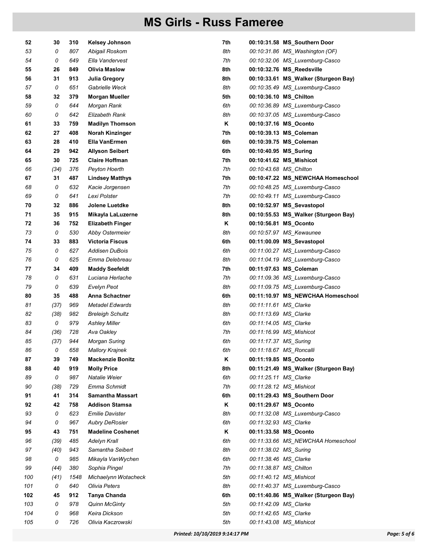| 52  | 30   | 310  | <b>Kelsey Johnson</b>    | 7th |                        | 00:10:31.58 MS_Southern Door         |
|-----|------|------|--------------------------|-----|------------------------|--------------------------------------|
| 53  | 0    | 807  | Abigail Roskom           | 8th |                        | 00:10:31.86 MS_Washington (OF)       |
| 54  | 0    | 649  | Ella Vandervest          | 7th |                        | 00:10:32.06 MS Luxemburg-Casco       |
| 55  | 26   | 849  | Olivia Maslow            | 8th |                        | 00:10:32.76 MS_Reedsville            |
| 56  | 31   | 913  | Julia Gregory            | 8th |                        | 00:10:33.61 MS_Walker (Sturgeon Bay) |
| 57  | 0    | 651  | Gabrielle Weck           | 8th |                        | 00:10:35.49 MS_Luxemburg-Casco       |
| 58  | 32   | 379  | <b>Morgan Mueller</b>    | 5th |                        | 00:10:36.10 MS_Chilton               |
| 59  | 0    | 644  | Morgan Rank              | 6th |                        | 00:10:36.89 MS_Luxemburg-Casco       |
| 60  | 0    | 642  | Elizabeth Rank           | 8th |                        | 00:10:37.05 MS_Luxemburg-Casco       |
| 61  | 33   | 759  | <b>Madilyn Thomson</b>   | Κ   |                        | 00:10:37.16 MS_Oconto                |
| 62  | 27   | 408  | Norah Kinzinger          | 7th |                        | 00:10:39.13 MS_Coleman               |
| 63  | 28   | 410  | Ella VanErmen            | 6th |                        | 00:10:39.75 MS_Coleman               |
| 64  | 29   | 942  | Allyson Seibert          | 6th | 00:10:40.95 MS_Suring  |                                      |
| 65  | 30   | 725  | <b>Claire Hoffman</b>    | 7th |                        | 00:10:41.62 MS_Mishicot              |
| 66  | (34) | 376  | Peyton Hoerth            | 7th | 00:10:43.68 MS_Chilton |                                      |
| 67  | 31   | 487  | <b>Lindsey Matthys</b>   | 7th |                        | 00:10:47.22 MS_NEWCHAA Homeschool    |
| 68  | 0    | 632  | Kacie Jorgensen          | 7th |                        | 00:10:48.25 MS_Luxemburg-Casco       |
| 69  | 0    | 641  | Lexi Polster             | 7th |                        | 00:10:49.11 MS Luxemburg-Casco       |
| 70  | 32   | 886  | Jolene Luetdke           | 8th |                        | 00:10:52.97 MS_Sevastopol            |
| 71  | 35   | 915  | Mikayla LaLuzerne        | 8th |                        | 00:10:55.53 MS Walker (Sturgeon Bay) |
| 72  | 36   | 752  | <b>Elizabeth Finger</b>  | Κ   |                        | 00:10:56.81 MS_Oconto                |
| 73  | 0    | 530  | Abby Ostermeier          | 8th |                        | 00:10:57.97 MS_Kewaunee              |
| 74  | 33   | 883  | <b>Victoria Fiscus</b>   | 6th |                        | 00:11:00.09 MS_Sevastopol            |
| 75  | 0    | 627  | Addisen DuBois           | 6th |                        | 00:11:00.27 MS_Luxemburg-Casco       |
| 76  | 0    | 625  | Emma Delebreau           | 8th |                        | 00:11:04.19 MS_Luxemburg-Casco       |
| 77  | 34   | 409  | <b>Maddy Seefeldt</b>    | 7th |                        | 00:11:07.63 MS_Coleman               |
| 78  | 0    | 631  | Luciana Herlache         | 7th |                        | 00:11:09.36 MS_Luxemburg-Casco       |
| 79  | 0    | 639  | Evelyn Peot              | 8th |                        | 00:11:09.75 MS_Luxemburg-Casco       |
| 80  | 35   | 488  | Anna Schactner           | 6th |                        | 00:11:10.97 MS_NEWCHAA Homeschool    |
| 81  | (37) | 969  | Metadel Edwards          | 8th | 00:11:11.61 MS_Clarke  |                                      |
| 82  | (38) | 982  | <b>Breleigh Schultz</b>  | 8th | 00:11:13.69 MS_Clarke  |                                      |
| 83  | 0    | 979  | <b>Ashley Miller</b>     | 6th | 00:11:14.05 MS_Clarke  |                                      |
| 84  | (36) | 728  | Ava Oakley               | 7th |                        | 00:11:16.99 MS_Mishicot              |
| 85  | (37) | 944  | <b>Morgan Suring</b>     | 6th | 00:11:17.37 MS_Suring  |                                      |
| 86  | 0    | 658  | <b>Mallory Krajnek</b>   | 6th |                        | 00:11:18.67 MS_Roncalli              |
| 87  | 39   | 749  | <b>Mackenzie Bonitz</b>  | Κ   |                        | 00:11:19.85 MS_Oconto                |
| 88  | 40   | 919  | <b>Molly Price</b>       | 8th |                        | 00:11:21.49 MS_Walker (Sturgeon Bay) |
| 89  | 0    | 987  | Natalie Weier            | 6th | 00:11:25.11 MS_Clarke  |                                      |
| 90  | (38) | 729  | Emma Schmidt             | 7th |                        | 00:11:28.12 MS_Mishicot              |
| 91  | 41   | 314  | <b>Samantha Massart</b>  | 6th |                        | 00:11:29.43 MS_Southern Door         |
| 92  | 42   | 758  | <b>Addison Stamsa</b>    | Κ   |                        | 00:11:29.67 MS_Oconto                |
| 93  | 0    | 623  | <b>Emilie Davister</b>   | 8th |                        | 00:11:32.08 MS_Luxemburg-Casco       |
| 94  | 0    | 967  | <b>Aubry DeRosier</b>    | 6th | 00:11:32.93 MS_Clarke  |                                      |
| 95  | 43   | 751  | <b>Madeline Coshenet</b> | Κ   |                        | 00:11:33.58 MS_Oconto                |
| 96  | (39) | 485  | Adelyn Krall             | 6th |                        | 00:11:33.66 MS_NEWCHAA Homeschool    |
| 97  | (40) | 943  | Samantha Seibert         | 8th | 00:11:38.02 MS_Suring  |                                      |
| 98  | 0    | 985  | Mikayla VanWychen        | 6th | 00:11:38.46 MS_Clarke  |                                      |
| 99  | (44) | 380  | Sophia Pingel            | 7th |                        | 00:11:38.87 MS_Chilton               |
| 100 | (41) | 1548 | Michaelynn Wotacheck     | 5th |                        | 00:11:40.12 MS Mishicot              |
| 101 | 0    | 640  | Olivia Peters            | 8th |                        | 00:11:40.37 MS_Luxemburg-Casco       |
| 102 | 45   | 912  | Tanya Chanda             | 6th |                        | 00:11:40.86 MS_Walker (Sturgeon Bay) |
| 103 | 0    | 978  | <b>Quinn McGinty</b>     | 5th | 00:11:42.09 MS_Clarke  |                                      |
| 104 | 0    | 968  | Keira Dickson            | 5th | 00:11:42.65 MS_Clarke  |                                      |
| 105 | 0    | 726  | Olivia Kaczrowski        | 5th |                        | 00:11:43.08 MS_Mishicot              |